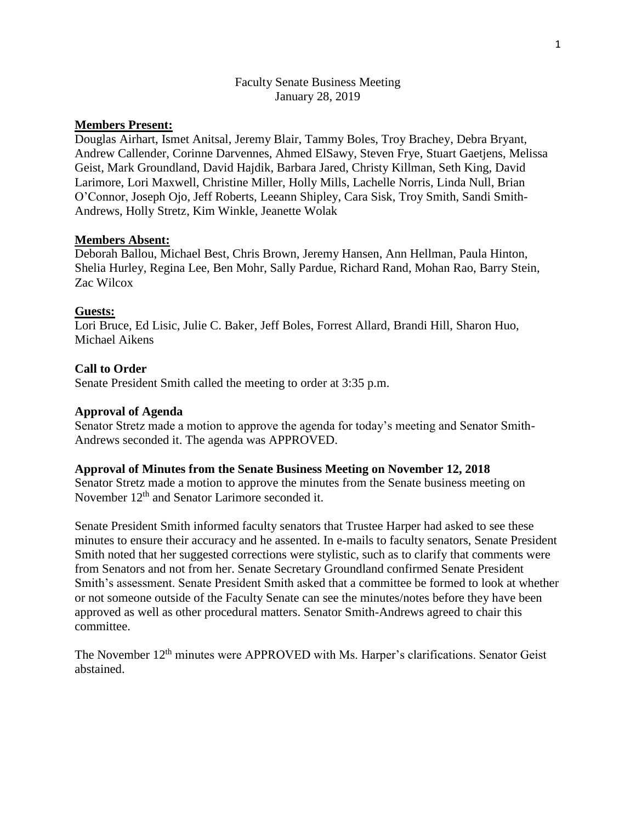## Faculty Senate Business Meeting January 28, 2019

# **Members Present:**

Douglas Airhart, Ismet Anitsal, Jeremy Blair, Tammy Boles, Troy Brachey, Debra Bryant, Andrew Callender, Corinne Darvennes, Ahmed ElSawy, Steven Frye, Stuart Gaetjens, Melissa Geist, Mark Groundland, David Hajdik, Barbara Jared, Christy Killman, Seth King, David Larimore, Lori Maxwell, Christine Miller, Holly Mills, Lachelle Norris, Linda Null, Brian O'Connor, Joseph Ojo, Jeff Roberts, Leeann Shipley, Cara Sisk, Troy Smith, Sandi Smith-Andrews, Holly Stretz, Kim Winkle, Jeanette Wolak

### **Members Absent:**

Deborah Ballou, Michael Best, Chris Brown, Jeremy Hansen, Ann Hellman, Paula Hinton, Shelia Hurley, Regina Lee, Ben Mohr, Sally Pardue, Richard Rand, Mohan Rao, Barry Stein, Zac Wilcox

### **Guests:**

Lori Bruce, Ed Lisic, Julie C. Baker, Jeff Boles, Forrest Allard, Brandi Hill, Sharon Huo, Michael Aikens

## **Call to Order**

Senate President Smith called the meeting to order at 3:35 p.m.

#### **Approval of Agenda**

Senator Stretz made a motion to approve the agenda for today's meeting and Senator Smith-Andrews seconded it. The agenda was APPROVED.

### **Approval of Minutes from the Senate Business Meeting on November 12, 2018**

Senator Stretz made a motion to approve the minutes from the Senate business meeting on November  $12<sup>th</sup>$  and Senator Larimore seconded it.

Senate President Smith informed faculty senators that Trustee Harper had asked to see these minutes to ensure their accuracy and he assented. In e-mails to faculty senators, Senate President Smith noted that her suggested corrections were stylistic, such as to clarify that comments were from Senators and not from her. Senate Secretary Groundland confirmed Senate President Smith's assessment. Senate President Smith asked that a committee be formed to look at whether or not someone outside of the Faculty Senate can see the minutes/notes before they have been approved as well as other procedural matters. Senator Smith-Andrews agreed to chair this committee.

The November 12<sup>th</sup> minutes were APPROVED with Ms. Harper's clarifications. Senator Geist abstained.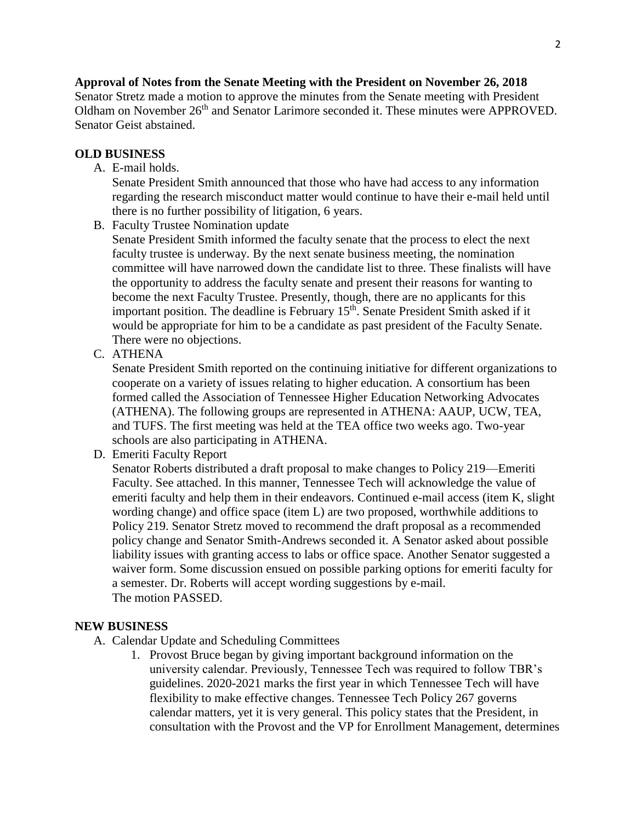**Approval of Notes from the Senate Meeting with the President on November 26, 2018** Senator Stretz made a motion to approve the minutes from the Senate meeting with President Oldham on November 26<sup>th</sup> and Senator Larimore seconded it. These minutes were APPROVED. Senator Geist abstained.

# **OLD BUSINESS**

A. E-mail holds.

Senate President Smith announced that those who have had access to any information regarding the research misconduct matter would continue to have their e-mail held until there is no further possibility of litigation, 6 years.

B. Faculty Trustee Nomination update

Senate President Smith informed the faculty senate that the process to elect the next faculty trustee is underway. By the next senate business meeting, the nomination committee will have narrowed down the candidate list to three. These finalists will have the opportunity to address the faculty senate and present their reasons for wanting to become the next Faculty Trustee. Presently, though, there are no applicants for this important position. The deadline is February 15<sup>th</sup>. Senate President Smith asked if it would be appropriate for him to be a candidate as past president of the Faculty Senate. There were no objections.

C. ATHENA

Senate President Smith reported on the continuing initiative for different organizations to cooperate on a variety of issues relating to higher education. A consortium has been formed called the Association of Tennessee Higher Education Networking Advocates (ATHENA). The following groups are represented in ATHENA: AAUP, UCW, TEA, and TUFS. The first meeting was held at the TEA office two weeks ago. Two-year schools are also participating in ATHENA.

D. Emeriti Faculty Report

Senator Roberts distributed a draft proposal to make changes to Policy 219—Emeriti Faculty. See attached. In this manner, Tennessee Tech will acknowledge the value of emeriti faculty and help them in their endeavors. Continued e-mail access (item K, slight wording change) and office space (item L) are two proposed, worthwhile additions to Policy 219. Senator Stretz moved to recommend the draft proposal as a recommended policy change and Senator Smith-Andrews seconded it. A Senator asked about possible liability issues with granting access to labs or office space. Another Senator suggested a waiver form. Some discussion ensued on possible parking options for emeriti faculty for a semester. Dr. Roberts will accept wording suggestions by e-mail. The motion PASSED.

#### **NEW BUSINESS**

- A. Calendar Update and Scheduling Committees
	- 1. Provost Bruce began by giving important background information on the university calendar. Previously, Tennessee Tech was required to follow TBR's guidelines. 2020-2021 marks the first year in which Tennessee Tech will have flexibility to make effective changes. Tennessee Tech Policy 267 governs calendar matters, yet it is very general. This policy states that the President, in consultation with the Provost and the VP for Enrollment Management, determines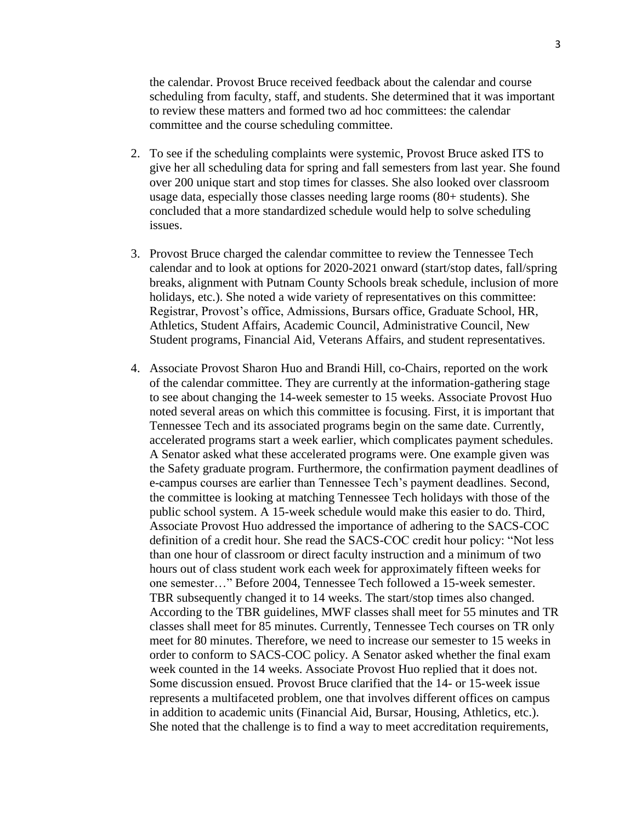the calendar. Provost Bruce received feedback about the calendar and course scheduling from faculty, staff, and students. She determined that it was important to review these matters and formed two ad hoc committees: the calendar committee and the course scheduling committee.

- 2. To see if the scheduling complaints were systemic, Provost Bruce asked ITS to give her all scheduling data for spring and fall semesters from last year. She found over 200 unique start and stop times for classes. She also looked over classroom usage data, especially those classes needing large rooms (80+ students). She concluded that a more standardized schedule would help to solve scheduling issues.
- 3. Provost Bruce charged the calendar committee to review the Tennessee Tech calendar and to look at options for 2020-2021 onward (start/stop dates, fall/spring breaks, alignment with Putnam County Schools break schedule, inclusion of more holidays, etc.). She noted a wide variety of representatives on this committee: Registrar, Provost's office, Admissions, Bursars office, Graduate School, HR, Athletics, Student Affairs, Academic Council, Administrative Council, New Student programs, Financial Aid, Veterans Affairs, and student representatives.
- 4. Associate Provost Sharon Huo and Brandi Hill, co-Chairs, reported on the work of the calendar committee. They are currently at the information-gathering stage to see about changing the 14-week semester to 15 weeks. Associate Provost Huo noted several areas on which this committee is focusing. First, it is important that Tennessee Tech and its associated programs begin on the same date. Currently, accelerated programs start a week earlier, which complicates payment schedules. A Senator asked what these accelerated programs were. One example given was the Safety graduate program. Furthermore, the confirmation payment deadlines of e-campus courses are earlier than Tennessee Tech's payment deadlines. Second, the committee is looking at matching Tennessee Tech holidays with those of the public school system. A 15-week schedule would make this easier to do. Third, Associate Provost Huo addressed the importance of adhering to the SACS-COC definition of a credit hour. She read the SACS-COC credit hour policy: "Not less than one hour of classroom or direct faculty instruction and a minimum of two hours out of class student work each week for approximately fifteen weeks for one semester…" Before 2004, Tennessee Tech followed a 15-week semester. TBR subsequently changed it to 14 weeks. The start/stop times also changed. According to the TBR guidelines, MWF classes shall meet for 55 minutes and TR classes shall meet for 85 minutes. Currently, Tennessee Tech courses on TR only meet for 80 minutes. Therefore, we need to increase our semester to 15 weeks in order to conform to SACS-COC policy. A Senator asked whether the final exam week counted in the 14 weeks. Associate Provost Huo replied that it does not. Some discussion ensued. Provost Bruce clarified that the 14- or 15-week issue represents a multifaceted problem, one that involves different offices on campus in addition to academic units (Financial Aid, Bursar, Housing, Athletics, etc.). She noted that the challenge is to find a way to meet accreditation requirements,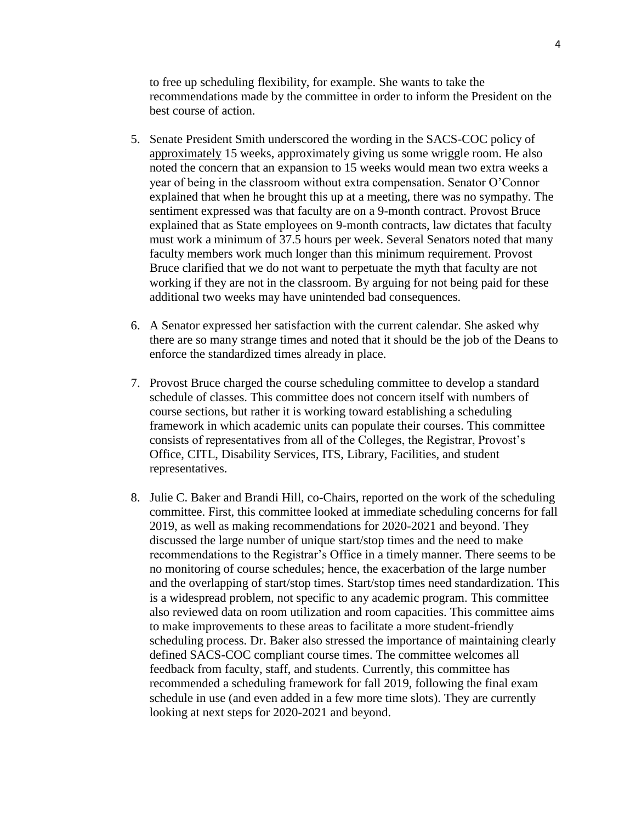to free up scheduling flexibility, for example. She wants to take the recommendations made by the committee in order to inform the President on the best course of action.

- 5. Senate President Smith underscored the wording in the SACS-COC policy of approximately 15 weeks, approximately giving us some wriggle room. He also noted the concern that an expansion to 15 weeks would mean two extra weeks a year of being in the classroom without extra compensation. Senator O'Connor explained that when he brought this up at a meeting, there was no sympathy. The sentiment expressed was that faculty are on a 9-month contract. Provost Bruce explained that as State employees on 9-month contracts, law dictates that faculty must work a minimum of 37.5 hours per week. Several Senators noted that many faculty members work much longer than this minimum requirement. Provost Bruce clarified that we do not want to perpetuate the myth that faculty are not working if they are not in the classroom. By arguing for not being paid for these additional two weeks may have unintended bad consequences.
- 6. A Senator expressed her satisfaction with the current calendar. She asked why there are so many strange times and noted that it should be the job of the Deans to enforce the standardized times already in place.
- 7. Provost Bruce charged the course scheduling committee to develop a standard schedule of classes. This committee does not concern itself with numbers of course sections, but rather it is working toward establishing a scheduling framework in which academic units can populate their courses. This committee consists of representatives from all of the Colleges, the Registrar, Provost's Office, CITL, Disability Services, ITS, Library, Facilities, and student representatives.
- 8. Julie C. Baker and Brandi Hill, co-Chairs, reported on the work of the scheduling committee. First, this committee looked at immediate scheduling concerns for fall 2019, as well as making recommendations for 2020-2021 and beyond. They discussed the large number of unique start/stop times and the need to make recommendations to the Registrar's Office in a timely manner. There seems to be no monitoring of course schedules; hence, the exacerbation of the large number and the overlapping of start/stop times. Start/stop times need standardization. This is a widespread problem, not specific to any academic program. This committee also reviewed data on room utilization and room capacities. This committee aims to make improvements to these areas to facilitate a more student-friendly scheduling process. Dr. Baker also stressed the importance of maintaining clearly defined SACS-COC compliant course times. The committee welcomes all feedback from faculty, staff, and students. Currently, this committee has recommended a scheduling framework for fall 2019, following the final exam schedule in use (and even added in a few more time slots). They are currently looking at next steps for 2020-2021 and beyond.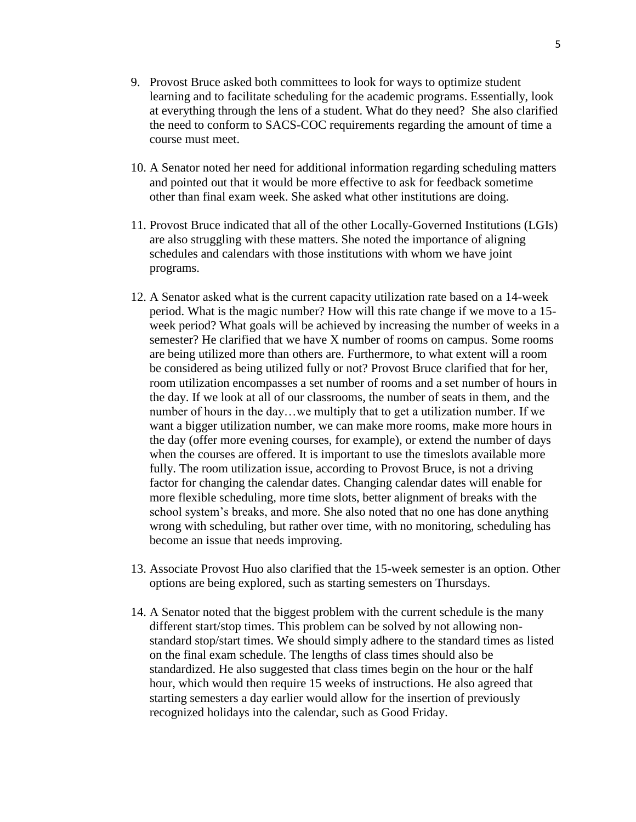- 9. Provost Bruce asked both committees to look for ways to optimize student learning and to facilitate scheduling for the academic programs. Essentially, look at everything through the lens of a student. What do they need? She also clarified the need to conform to SACS-COC requirements regarding the amount of time a course must meet.
- 10. A Senator noted her need for additional information regarding scheduling matters and pointed out that it would be more effective to ask for feedback sometime other than final exam week. She asked what other institutions are doing.
- 11. Provost Bruce indicated that all of the other Locally-Governed Institutions (LGIs) are also struggling with these matters. She noted the importance of aligning schedules and calendars with those institutions with whom we have joint programs.
- 12. A Senator asked what is the current capacity utilization rate based on a 14-week period. What is the magic number? How will this rate change if we move to a 15 week period? What goals will be achieved by increasing the number of weeks in a semester? He clarified that we have X number of rooms on campus. Some rooms are being utilized more than others are. Furthermore, to what extent will a room be considered as being utilized fully or not? Provost Bruce clarified that for her, room utilization encompasses a set number of rooms and a set number of hours in the day. If we look at all of our classrooms, the number of seats in them, and the number of hours in the day…we multiply that to get a utilization number. If we want a bigger utilization number, we can make more rooms, make more hours in the day (offer more evening courses, for example), or extend the number of days when the courses are offered. It is important to use the timeslots available more fully. The room utilization issue, according to Provost Bruce, is not a driving factor for changing the calendar dates. Changing calendar dates will enable for more flexible scheduling, more time slots, better alignment of breaks with the school system's breaks, and more. She also noted that no one has done anything wrong with scheduling, but rather over time, with no monitoring, scheduling has become an issue that needs improving.
- 13. Associate Provost Huo also clarified that the 15-week semester is an option. Other options are being explored, such as starting semesters on Thursdays.
- 14. A Senator noted that the biggest problem with the current schedule is the many different start/stop times. This problem can be solved by not allowing nonstandard stop/start times. We should simply adhere to the standard times as listed on the final exam schedule. The lengths of class times should also be standardized. He also suggested that class times begin on the hour or the half hour, which would then require 15 weeks of instructions. He also agreed that starting semesters a day earlier would allow for the insertion of previously recognized holidays into the calendar, such as Good Friday.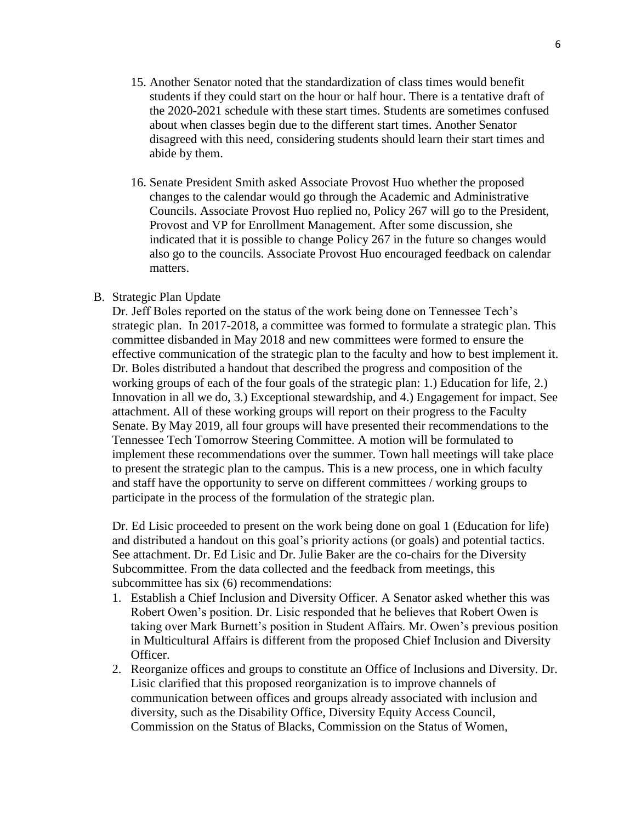- 15. Another Senator noted that the standardization of class times would benefit students if they could start on the hour or half hour. There is a tentative draft of the 2020-2021 schedule with these start times. Students are sometimes confused about when classes begin due to the different start times. Another Senator disagreed with this need, considering students should learn their start times and abide by them.
- 16. Senate President Smith asked Associate Provost Huo whether the proposed changes to the calendar would go through the Academic and Administrative Councils. Associate Provost Huo replied no, Policy 267 will go to the President, Provost and VP for Enrollment Management. After some discussion, she indicated that it is possible to change Policy 267 in the future so changes would also go to the councils. Associate Provost Huo encouraged feedback on calendar matters.

## B. Strategic Plan Update

Dr. Jeff Boles reported on the status of the work being done on Tennessee Tech's strategic plan. In 2017-2018, a committee was formed to formulate a strategic plan. This committee disbanded in May 2018 and new committees were formed to ensure the effective communication of the strategic plan to the faculty and how to best implement it. Dr. Boles distributed a handout that described the progress and composition of the working groups of each of the four goals of the strategic plan: 1.) Education for life, 2.) Innovation in all we do, 3.) Exceptional stewardship, and 4.) Engagement for impact. See attachment. All of these working groups will report on their progress to the Faculty Senate. By May 2019, all four groups will have presented their recommendations to the Tennessee Tech Tomorrow Steering Committee. A motion will be formulated to implement these recommendations over the summer. Town hall meetings will take place to present the strategic plan to the campus. This is a new process, one in which faculty and staff have the opportunity to serve on different committees / working groups to participate in the process of the formulation of the strategic plan.

Dr. Ed Lisic proceeded to present on the work being done on goal 1 (Education for life) and distributed a handout on this goal's priority actions (or goals) and potential tactics. See attachment. Dr. Ed Lisic and Dr. Julie Baker are the co-chairs for the Diversity Subcommittee. From the data collected and the feedback from meetings, this subcommittee has six (6) recommendations:

- 1. Establish a Chief Inclusion and Diversity Officer. A Senator asked whether this was Robert Owen's position. Dr. Lisic responded that he believes that Robert Owen is taking over Mark Burnett's position in Student Affairs. Mr. Owen's previous position in Multicultural Affairs is different from the proposed Chief Inclusion and Diversity Officer.
- 2. Reorganize offices and groups to constitute an Office of Inclusions and Diversity. Dr. Lisic clarified that this proposed reorganization is to improve channels of communication between offices and groups already associated with inclusion and diversity, such as the Disability Office, Diversity Equity Access Council, Commission on the Status of Blacks, Commission on the Status of Women,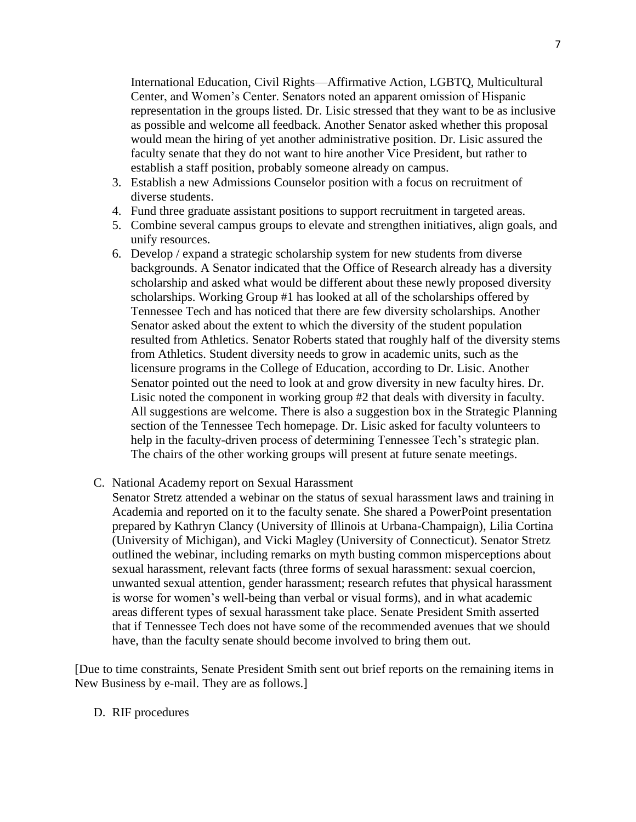International Education, Civil Rights—Affirmative Action, LGBTQ, Multicultural Center, and Women's Center. Senators noted an apparent omission of Hispanic representation in the groups listed. Dr. Lisic stressed that they want to be as inclusive as possible and welcome all feedback. Another Senator asked whether this proposal would mean the hiring of yet another administrative position. Dr. Lisic assured the faculty senate that they do not want to hire another Vice President, but rather to establish a staff position, probably someone already on campus.

- 3. Establish a new Admissions Counselor position with a focus on recruitment of diverse students.
- 4. Fund three graduate assistant positions to support recruitment in targeted areas.
- 5. Combine several campus groups to elevate and strengthen initiatives, align goals, and unify resources.
- 6. Develop / expand a strategic scholarship system for new students from diverse backgrounds. A Senator indicated that the Office of Research already has a diversity scholarship and asked what would be different about these newly proposed diversity scholarships. Working Group #1 has looked at all of the scholarships offered by Tennessee Tech and has noticed that there are few diversity scholarships. Another Senator asked about the extent to which the diversity of the student population resulted from Athletics. Senator Roberts stated that roughly half of the diversity stems from Athletics. Student diversity needs to grow in academic units, such as the licensure programs in the College of Education, according to Dr. Lisic. Another Senator pointed out the need to look at and grow diversity in new faculty hires. Dr. Lisic noted the component in working group #2 that deals with diversity in faculty. All suggestions are welcome. There is also a suggestion box in the Strategic Planning section of the Tennessee Tech homepage. Dr. Lisic asked for faculty volunteers to help in the faculty-driven process of determining Tennessee Tech's strategic plan. The chairs of the other working groups will present at future senate meetings.
- C. National Academy report on Sexual Harassment
	- Senator Stretz attended a webinar on the status of sexual harassment laws and training in Academia and reported on it to the faculty senate. She shared a PowerPoint presentation prepared by Kathryn Clancy (University of Illinois at Urbana-Champaign), Lilia Cortina (University of Michigan), and Vicki Magley (University of Connecticut). Senator Stretz outlined the webinar, including remarks on myth busting common misperceptions about sexual harassment, relevant facts (three forms of sexual harassment: sexual coercion, unwanted sexual attention, gender harassment; research refutes that physical harassment is worse for women's well-being than verbal or visual forms), and in what academic areas different types of sexual harassment take place. Senate President Smith asserted that if Tennessee Tech does not have some of the recommended avenues that we should have, than the faculty senate should become involved to bring them out.

[Due to time constraints, Senate President Smith sent out brief reports on the remaining items in New Business by e-mail. They are as follows.]

#### D. RIF procedures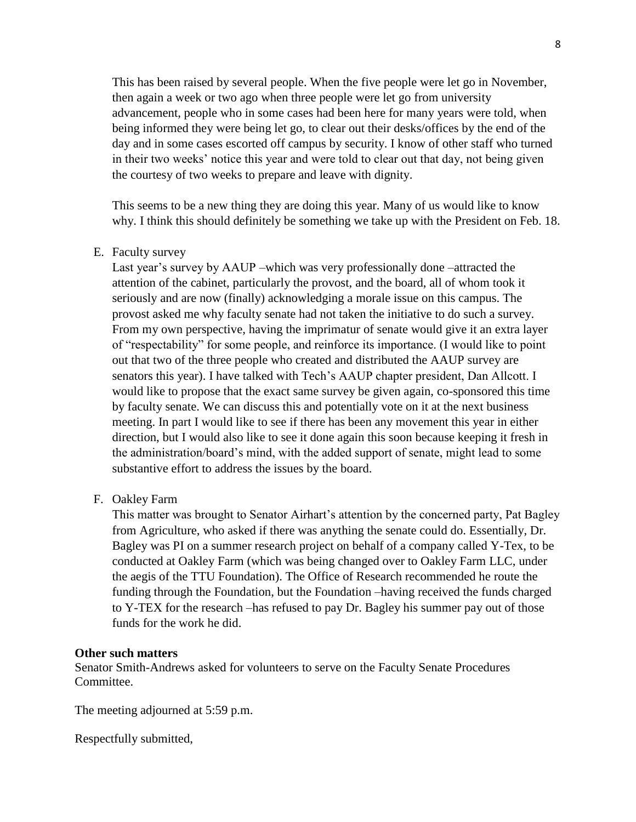This has been raised by several people. When the five people were let go in November, then again a week or two ago when three people were let go from university advancement, people who in some cases had been here for many years were told, when being informed they were being let go, to clear out their desks/offices by the end of the day and in some cases escorted off campus by security. I know of other staff who turned in their two weeks' notice this year and were told to clear out that day, not being given the courtesy of two weeks to prepare and leave with dignity.

This seems to be a new thing they are doing this year. Many of us would like to know why. I think this should definitely be something we take up with the President on Feb. 18.

E. Faculty survey

Last year's survey by AAUP –which was very professionally done –attracted the attention of the cabinet, particularly the provost, and the board, all of whom took it seriously and are now (finally) acknowledging a morale issue on this campus. The provost asked me why faculty senate had not taken the initiative to do such a survey. From my own perspective, having the imprimatur of senate would give it an extra layer of "respectability" for some people, and reinforce its importance. (I would like to point out that two of the three people who created and distributed the AAUP survey are senators this year). I have talked with Tech's AAUP chapter president, Dan Allcott. I would like to propose that the exact same survey be given again, co-sponsored this time by faculty senate. We can discuss this and potentially vote on it at the next business meeting. In part I would like to see if there has been any movement this year in either direction, but I would also like to see it done again this soon because keeping it fresh in the administration/board's mind, with the added support of senate, might lead to some substantive effort to address the issues by the board.

F. Oakley Farm

This matter was brought to Senator Airhart's attention by the concerned party, Pat Bagley from Agriculture, who asked if there was anything the senate could do. Essentially, Dr. Bagley was PI on a summer research project on behalf of a company called Y-Tex, to be conducted at Oakley Farm (which was being changed over to Oakley Farm LLC, under the aegis of the TTU Foundation). The Office of Research recommended he route the funding through the Foundation, but the Foundation –having received the funds charged to Y-TEX for the research –has refused to pay Dr. Bagley his summer pay out of those funds for the work he did.

## **Other such matters**

Senator Smith-Andrews asked for volunteers to serve on the Faculty Senate Procedures Committee.

The meeting adjourned at 5:59 p.m.

Respectfully submitted,